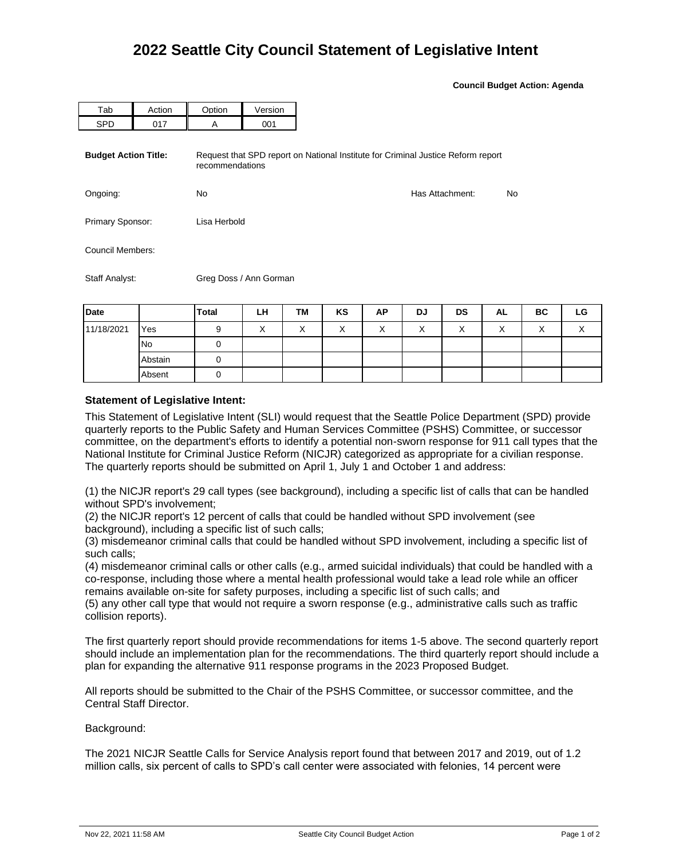**Council Budget Action: Agenda**

|                             |        | Greg Doss / Ann Gorman                                                                              |         |  |  |  |  |                 |    |  |  |
|-----------------------------|--------|-----------------------------------------------------------------------------------------------------|---------|--|--|--|--|-----------------|----|--|--|
| Staff Analyst:              |        |                                                                                                     |         |  |  |  |  |                 |    |  |  |
| Council Members:            |        |                                                                                                     |         |  |  |  |  |                 |    |  |  |
| Primary Sponsor:            |        | Lisa Herbold                                                                                        |         |  |  |  |  |                 |    |  |  |
| Ongoing:                    |        | <b>No</b>                                                                                           |         |  |  |  |  | Has Attachment: | No |  |  |
| <b>Budget Action Title:</b> |        | Request that SPD report on National Institute for Criminal Justice Reform report<br>recommendations |         |  |  |  |  |                 |    |  |  |
| <b>SPD</b>                  | 017    | A                                                                                                   | 001     |  |  |  |  |                 |    |  |  |
| Tab                         | Action | Option                                                                                              | Version |  |  |  |  |                 |    |  |  |

| Date       |           | <b>Total</b> | LH                        | TM                | KS                        | АP | DJ        | DS           | AL                     | BC                | LG |
|------------|-----------|--------------|---------------------------|-------------------|---------------------------|----|-----------|--------------|------------------------|-------------------|----|
| 11/18/2021 | Yes       | 9            | $\checkmark$<br>$\lambda$ | $\checkmark$<br>⌒ | $\checkmark$<br>$\lambda$ |    | $\lambda$ | $\checkmark$ | $\lambda$<br>$\lambda$ | $\checkmark$<br>⋏ | ↗  |
|            | <b>No</b> |              |                           |                   |                           |    |           |              |                        |                   |    |
|            | Abstain   |              |                           |                   |                           |    |           |              |                        |                   |    |
|            | Absent    |              |                           |                   |                           |    |           |              |                        |                   |    |

## **Statement of Legislative Intent:**

This Statement of Legislative Intent (SLI) would request that the Seattle Police Department (SPD) provide quarterly reports to the Public Safety and Human Services Committee (PSHS) Committee, or successor committee, on the department's efforts to identify a potential non-sworn response for 911 call types that the National Institute for Criminal Justice Reform (NICJR) categorized as appropriate for a civilian response. The quarterly reports should be submitted on April 1, July 1 and October 1 and address:

(1) the NICJR report's 29 call types (see background), including a specific list of calls that can be handled without SPD's involvement;

(2) the NICJR report's 12 percent of calls that could be handled without SPD involvement (see background), including a specific list of such calls;

(3) misdemeanor criminal calls that could be handled without SPD involvement, including a specific list of such calls;

(4) misdemeanor criminal calls or other calls (e.g., armed suicidal individuals) that could be handled with a co-response, including those where a mental health professional would take a lead role while an officer remains available on-site for safety purposes, including a specific list of such calls; and

(5) any other call type that would not require a sworn response (e.g., administrative calls such as traffic collision reports).

The first quarterly report should provide recommendations for items 1-5 above. The second quarterly report should include an implementation plan for the recommendations. The third quarterly report should include a plan for expanding the alternative 911 response programs in the 2023 Proposed Budget.

All reports should be submitted to the Chair of the PSHS Committee, or successor committee, and the Central Staff Director.

Background:

The 2021 NICJR Seattle Calls for Service Analysis report found that between 2017 and 2019, out of 1.2 million calls, six percent of calls to SPD's call center were associated with felonies, 14 percent were